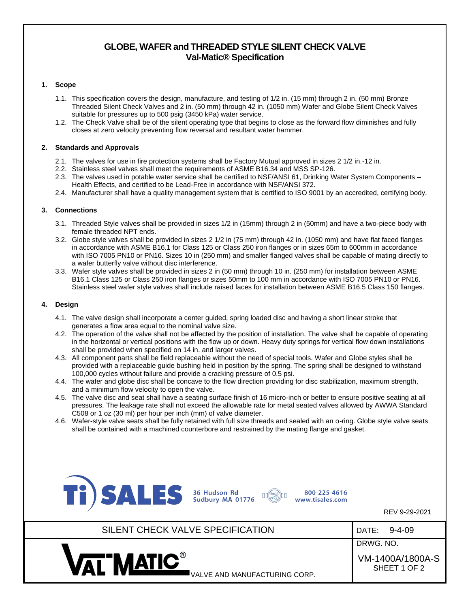# **GLOBE, WAFER and THREADED STYLE SILENT CHECK VALVE Val-Matic® Specification**

### **1. Scope**

- 1.1. This specification covers the design, manufacture, and testing of 1/2 in. (15 mm) through 2 in. (50 mm) Bronze Threaded Silent Check Valves and 2 in. (50 mm) through 42 in. (1050 mm) Wafer and Globe Silent Check Valves suitable for pressures up to 500 psig (3450 kPa) water service.
- 1.2. The Check Valve shall be of the silent operating type that begins to close as the forward flow diminishes and fully closes at zero velocity preventing flow reversal and resultant water hammer.

#### **2. Standards and Approvals**

- 2.1. The valves for use in fire protection systems shall be Factory Mutual approved in sizes 2 1/2 in.-12 in.
- 2.2. Stainless steel valves shall meet the requirements of ASME B16.34 and MSS SP-126.
- 2.3. The valves used in potable water service shall be certified to NSF/ANSI 61, Drinking Water System Components Health Effects, and certified to be Lead-Free in accordance with NSF/ANSI 372.
- 2.4. Manufacturer shall have a quality management system that is certified to ISO 9001 by an accredited, certifying body.

#### **3. Connections**

- 3.1. Threaded Style valves shall be provided in sizes 1/2 in (15mm) through 2 in (50mm) and have a two-piece body with female threaded NPT ends.
- 3.2. Globe style valves shall be provided in sizes 2 1/2 in (75 mm) through 42 in. (1050 mm) and have flat faced flanges in accordance with ASME B16.1 for Class 125 or Class 250 iron flanges or in sizes 65m to 600mm in accordance with ISO 7005 PN10 or PN16. Sizes 10 in (250 mm) and smaller flanged valves shall be capable of mating directly to a wafer butterfly valve without disc interference.
- 3.3. Wafer style valves shall be provided in sizes 2 in (50 mm) through 10 in. (250 mm) for installation between ASME B16.1 Class 125 or Class 250 iron flanges or sizes 50mm to 100 mm in accordance with ISO 7005 PN10 or PN16. Stainless steel wafer style valves shall include raised faces for installation between ASME B16.5 Class 150 flanges.

#### **4. Design**

- 4.1. The valve design shall incorporate a center guided, spring loaded disc and having a short linear stroke that generates a flow area equal to the nominal valve size.
- 4.2. The operation of the valve shall not be affected by the position of installation. The valve shall be capable of operating in the horizontal or vertical positions with the flow up or down. Heavy duty springs for vertical flow down installations shall be provided when specified on 14 in. and larger valves.
- 4.3. All component parts shall be field replaceable without the need of special tools. Wafer and Globe styles shall be provided with a replaceable guide bushing held in position by the spring. The spring shall be designed to withstand 100,000 cycles without failure and provide a cracking pressure of 0.5 psi.
- 4.4. The wafer and globe disc shall be concave to the flow direction providing for disc stabilization, maximum strength, and a minimum flow velocity to open the valve.
- 4.5. The valve disc and seat shall have a seating surface finish of 16 micro-inch or better to ensure positive seating at all pressures. The leakage rate shall not exceed the allowable rate for metal seated valves allowed by AWWA Standard C508 or 1 oz (30 ml) per hour per inch (mm) of valve diameter.
- 4.6. Wafer-style valve seats shall be fully retained with full size threads and sealed with an o-ring. Globe style valve seats shall be contained with a machined counterbore and restrained by the mating flange and gasket.





800-225-4616 www.tisales.com

REV 9-29-2021

| SILENT CHECK VALVE SPECIFICATION | $9 - 4 - 09$<br>DATE:                         |
|----------------------------------|-----------------------------------------------|
| <b>VAT MATIC®</b>                | DRWG. NO.<br>VM-1400A/1800A-S<br>SHEET 1 OF 2 |
| ■VALVE AND MANUFACTURING CORP.   |                                               |